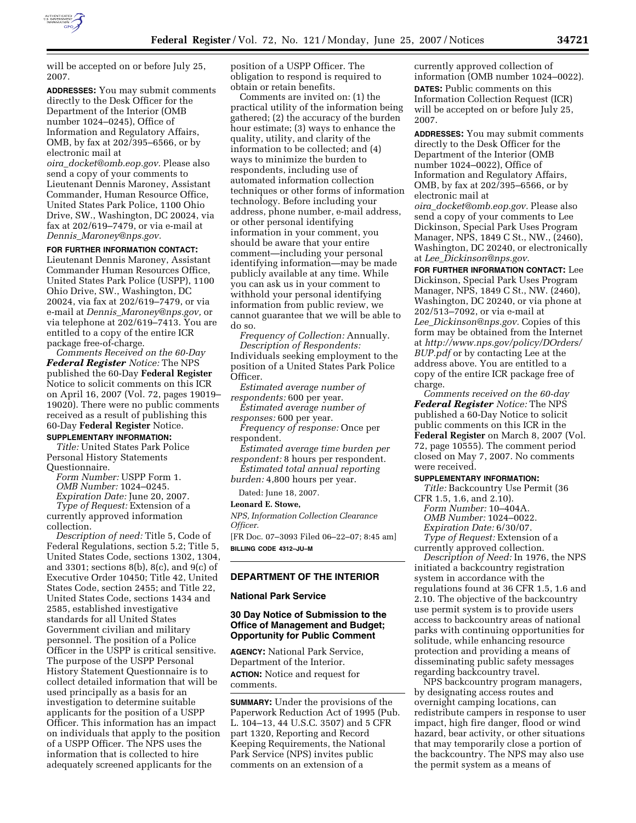

will be accepted on or before July 25, 2007.

**ADDRESSES:** You may submit comments directly to the Desk Officer for the Department of the Interior (OMB number 1024–0245), Office of Information and Regulatory Affairs, OMB, by fax at 202/395–6566, or by electronic mail at

*oira*\_*docket@omb.eop.gov.* Please also send a copy of your comments to Lieutenant Dennis Maroney, Assistant Commander, Human Resource Office, United States Park Police, 1100 Ohio Drive, SW., Washington, DC 20024, via fax at 202/619–7479, or via e-mail at *Dennis*\_*Maroney@nps.gov.* 

## **FOR FURTHER INFORMATION CONTACT:**

Lieutenant Dennis Maroney, Assistant Commander Human Resources Office, United States Park Police (USPP), 1100 Ohio Drive, SW., Washington, DC 20024, via fax at 202/619–7479, or via e-mail at *Dennis*\_*Maroney@nps.gov,* or via telephone at 202/619–7413. You are entitled to a copy of the entire ICR package free-of-charge.

*Comments Received on the 60-Day Federal Register Notice:* The NPS published the 60-Day **Federal Register**  Notice to solicit comments on this ICR on April 16, 2007 (Vol. 72, pages 19019– 19020). There were no public comments received as a result of publishing this 60-Day **Federal Register** Notice.

# **SUPPLEMENTARY INFORMATION:**

*Title:* United States Park Police Personal History Statements Questionnaire.

*Form Number:* USPP Form 1. *OMB Number:* 1024–0245. *Expiration Date:* June 20, 2007.

*Type of Request:* Extension of a

currently approved information collection.

*Description of need:* Title 5, Code of Federal Regulations, section 5.2; Title 5, United States Code, sections 1302, 1304, and 3301; sections 8(b), 8(c), and 9(c) of Executive Order 10450; Title 42, United States Code, section 2455; and Title 22, United States Code, sections 1434 and 2585, established investigative standards for all United States Government civilian and military personnel. The position of a Police Officer in the USPP is critical sensitive. The purpose of the USPP Personal History Statement Questionnaire is to collect detailed information that will be used principally as a basis for an investigation to determine suitable applicants for the position of a USPP Officer. This information has an impact on individuals that apply to the position of a USPP Officer. The NPS uses the information that is collected to hire adequately screened applicants for the

position of a USPP Officer. The obligation to respond is required to obtain or retain benefits.

Comments are invited on: (1) the practical utility of the information being gathered; (2) the accuracy of the burden hour estimate; (3) ways to enhance the quality, utility, and clarity of the information to be collected; and (4) ways to minimize the burden to respondents, including use of automated information collection techniques or other forms of information technology. Before including your address, phone number, e-mail address, or other personal identifying information in your comment, you should be aware that your entire comment—including your personal identifying information—may be made publicly available at any time. While you can ask us in your comment to withhold your personal identifying information from public review, we cannot guarantee that we will be able to do so.

*Frequency of Collection:* Annually. *Description of Respondents:*  Individuals seeking employment to the position of a United States Park Police Officer.

*Estimated average number of respondents:* 600 per year.

*Estimated average number of responses:* 600 per year.

*Frequency of response:* Once per respondent.

*Estimated average time burden per respondent:* 8 hours per respondent.

*Estimated total annual reporting burden:* 4,800 hours per year.

## Dated: June 18, 2007. **Leonard E. Stowe,**

*NPS, Information Collection Clearance Officer.* 

[FR Doc. 07–3093 Filed 06–22–07; 8:45 am] **BILLING CODE 4312–JU–M** 

# **DEPARTMENT OF THE INTERIOR**

## **National Park Service**

# **30 Day Notice of Submission to the Office of Management and Budget; Opportunity for Public Comment**

**AGENCY:** National Park Service, Department of the Interior. **ACTION:** Notice and request for comments.

**SUMMARY:** Under the provisions of the Paperwork Reduction Act of 1995 (Pub. L. 104–13, 44 U.S.C. 3507) and 5 CFR part 1320, Reporting and Record Keeping Requirements, the National Park Service (NPS) invites public comments on an extension of a

currently approved collection of information (OMB number 1024–0022). **DATES:** Public comments on this Information Collection Request (ICR) will be accepted on or before July 25, 2007.

**ADDRESSES:** You may submit comments directly to the Desk Officer for the Department of the Interior (OMB number 1024–0022), Office of Information and Regulatory Affairs, OMB, by fax at 202/395–6566, or by electronic mail at *oira*\_*docket@omb.eop.gov.* Please also

send a copy of your comments to Lee Dickinson, Special Park Uses Program Manager, NPS, 1849 C St., NW., (2460), Washington, DC 20240, or electronically at *Lee*\_*Dickinson@nps.gov.* 

**FOR FURTHER INFORMATION CONTACT:** Lee Dickinson, Special Park Uses Program Manager, NPS, 1849 C St., NW. (2460), Washington, DC 20240, or via phone at 202/513–7092, or via e-mail at *Lee*\_*Dickinson@nps.gov.* Copies of this form may be obtained from the Internet at *http://www.nps.gov/policy/DOrders/ BUP.pdf* or by contacting Lee at the address above. You are entitled to a copy of the entire ICR package free of charge.

*Comments received on the 60-day Federal Register Notice:* The NPS published a 60-Day Notice to solicit public comments on this ICR in the **Federal Register** on March 8, 2007 (Vol. 72, page 10555). The comment period closed on May 7, 2007. No comments were received.

#### **SUPPLEMENTARY INFORMATION:**

*Title:* Backcountry Use Permit (36 CFR 1.5, 1.6, and 2.10).

*Form Number:* 10–404A. *OMB Number:* 1024–0022.

*Expiration Date:* 6/30/07. *Type of Request:* Extension of a

currently approved collection.

*Description of Need:* In 1976, the NPS initiated a backcountry registration system in accordance with the regulations found at 36 CFR 1.5, 1.6 and 2.10. The objective of the backcountry use permit system is to provide users access to backcountry areas of national parks with continuing opportunities for solitude, while enhancing resource protection and providing a means of disseminating public safety messages regarding backcountry travel.

NPS backcountry program managers, by designating access routes and overnight camping locations, can redistribute campers in response to user impact, high fire danger, flood or wind hazard, bear activity, or other situations that may temporarily close a portion of the backcountry. The NPS may also use the permit system as a means of